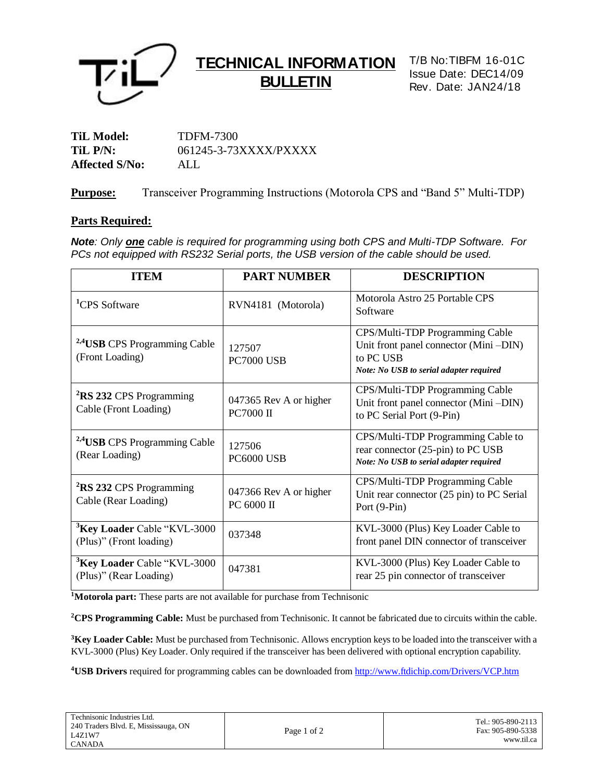

# **TECHNICAL INFORMATION BULLETIN**

T/B No:TIBFM 16-01C Issue Date: DEC14/09 Rev. Date: JAN24/18

**TiL Model:** TDFM-7300 **TiL P/N:** 061245-3-73XXXX/PXXXX **Affected S/No:** ALL

**Purpose:** Transceiver Programming Instructions (Motorola CPS and "Band 5" Multi-TDP)

### **Parts Required:**

*Note: Only one cable is required for programming using both CPS and Multi-TDP Software. For PCs not equipped with RS232 Serial ports, the USB version of the cable should be used.*

| <b>ITEM</b>                                                        | <b>PART NUMBER</b>                         | <b>DESCRIPTION</b>                                                                                                               |
|--------------------------------------------------------------------|--------------------------------------------|----------------------------------------------------------------------------------------------------------------------------------|
| <sup>1</sup> CPS Software                                          | RVN4181 (Motorola)                         | Motorola Astro 25 Portable CPS<br>Software                                                                                       |
| <sup>2,4</sup> USB CPS Programming Cable<br>(Front Loading)        | 127507<br><b>PC7000 USB</b>                | CPS/Multi-TDP Programming Cable<br>Unit front panel connector (Mini-DIN)<br>to PC USB<br>Note: No USB to serial adapter required |
| <sup>2</sup> RS 232 CPS Programming<br>Cable (Front Loading)       | 047365 Rev A or higher<br><b>PC7000 II</b> | CPS/Multi-TDP Programming Cable<br>Unit front panel connector (Mini-DIN)<br>to PC Serial Port (9-Pin)                            |
| <sup>2,4</sup> USB CPS Programming Cable<br>(Rear Loading)         | 127506<br>PC6000 USB                       | CPS/Multi-TDP Programming Cable to<br>rear connector (25-pin) to PC USB<br>Note: No USB to serial adapter required               |
| <sup>2</sup> RS 232 CPS Programming<br>Cable (Rear Loading)        | 047366 Rev A or higher<br>PC 6000 II       | CPS/Multi-TDP Programming Cable<br>Unit rear connector (25 pin) to PC Serial<br>Port (9-Pin)                                     |
| <sup>3</sup> Key Loader Cable "KVL-3000<br>(Plus)" (Front loading) | 037348                                     | KVL-3000 (Plus) Key Loader Cable to<br>front panel DIN connector of transceiver                                                  |
| <sup>3</sup> Key Loader Cable "KVL-3000"<br>(Plus)" (Rear Loading) | 047381                                     | KVL-3000 (Plus) Key Loader Cable to<br>rear 25 pin connector of transceiver                                                      |

**<sup>1</sup>Motorola part:** These parts are not available for purchase from Technisonic

**<sup>2</sup>CPS Programming Cable:** Must be purchased from Technisonic. It cannot be fabricated due to circuits within the cable.

**<sup>3</sup>Key Loader Cable:** Must be purchased from Technisonic. Allows encryption keys to be loaded into the transceiver with a KVL-3000 (Plus) Key Loader. Only required if the transceiver has been delivered with optional encryption capability.

**4USB Drivers** required for programming cables can be downloaded from<http://www.ftdichip.com/Drivers/VCP.htm>